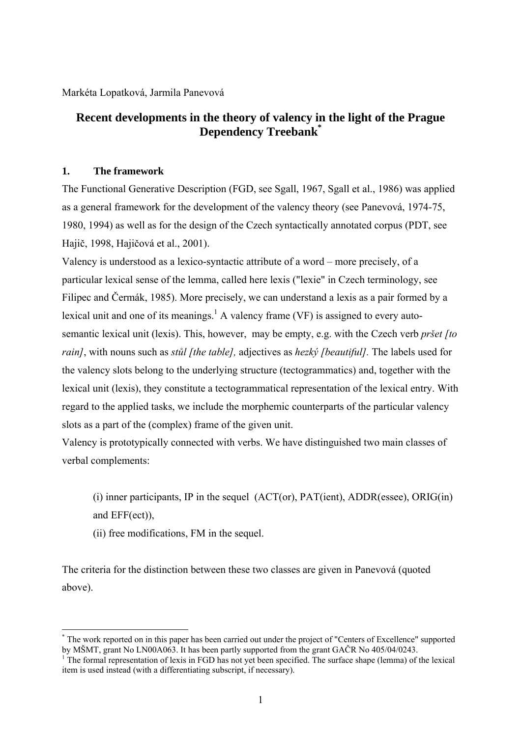Markéta Lopatková, Jarmila Panevová

# **Recent developments in the theory of valency in the light of the Prague Dependency Treebank[\\*](#page-0-0)**

# **1. The framework**

The Functional Generative Description (FGD, see Sgall, 1967, Sgall et al., 1986) was applied as a general framework for the development of the valency theory (see Panevová, 1974-75, 1980, 1994) as well as for the design of the Czech syntactically annotated corpus (PDT, see Hajič, 1998, Hajičová et al., 2001).

Valency is understood as a lexico-syntactic attribute of a word – more precisely, of a particular lexical sense of the lemma, called here lexis ("lexie" in Czech terminology, see Filipec and Čermák, 1985). More precisely, we can understand a lexis as a pair formed by a lexical unit and one of its meanings.<sup>[1](#page-0-1)</sup> A valency frame (VF) is assigned to every autosemantic lexical unit (lexis). This, however, may be empty, e.g. with the Czech verb *pršet [to rain]*, with nouns such as *stůl [the table],* adjectives as *hezký [beautiful].* The labels used for the valency slots belong to the underlying structure (tectogrammatics) and, together with the lexical unit (lexis), they constitute a tectogrammatical representation of the lexical entry. With regard to the applied tasks, we include the morphemic counterparts of the particular valency slots as a part of the (complex) frame of the given unit.

Valency is prototypically connected with verbs. We have distinguished two main classes of verbal complements:

 $(i)$  inner participants, IP in the sequel  $(ACT(or), PAT(ient), ADDR(esse), ORIG(in))$ and EFF(ect)),

(ii) free modifications, FM in the sequel.

 $\overline{a}$ 

The criteria for the distinction between these two classes are given in Panevová (quoted above).

<span id="page-0-0"></span><sup>\*</sup> The work reported on in this paper has been carried out under the project of "Centers of Excellence" supported by MŠMT, grant No LN00A063. It has been partly supported from the grant GAČR No 405/04/0243.

<span id="page-0-1"></span>The formal representation of lexis in FGD has not yet been specified. The surface shape (lemma) of the lexical item is used instead (with a differentiating subscript, if necessary).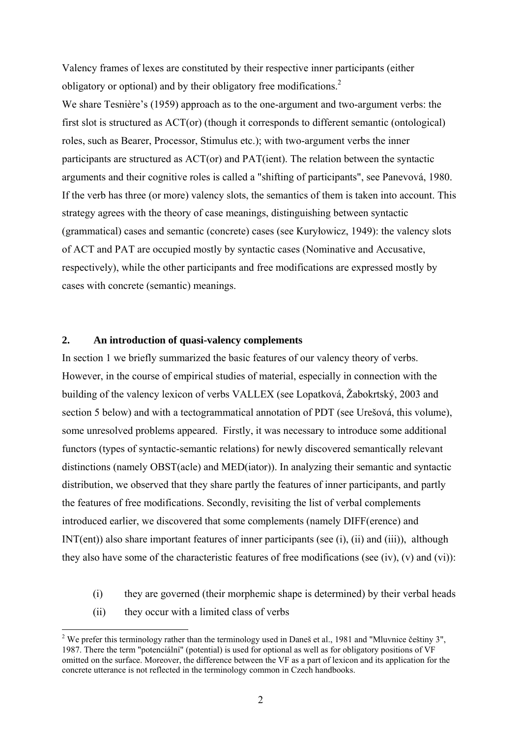Valency frames of lexes are constituted by their respective inner participants (either obligatory or optional) and by their obligatory free modifications.<sup>[2](#page-1-0)</sup>

We share Tesnière's (1959) approach as to the one-argument and two-argument verbs: the first slot is structured as ACT(or) (though it corresponds to different semantic (ontological) roles, such as Bearer, Processor, Stimulus etc.); with two-argument verbs the inner participants are structured as ACT(or) and PAT(ient). The relation between the syntactic arguments and their cognitive roles is called a "shifting of participants", see Panevová, 1980. If the verb has three (or more) valency slots, the semantics of them is taken into account. This strategy agrees with the theory of case meanings, distinguishing between syntactic (grammatical) cases and semantic (concrete) cases (see Kuryłowicz, 1949): the valency slots of ACT and PAT are occupied mostly by syntactic cases (Nominative and Accusative, respectively), while the other participants and free modifications are expressed mostly by cases with concrete (semantic) meanings.

# **2. An introduction of quasi-valency complements**

In section 1 we briefly summarized the basic features of our valency theory of verbs. However, in the course of empirical studies of material, especially in connection with the building of the valency lexicon of verbs VALLEX (see Lopatková, Žabokrtský, 2003 and section 5 below) and with a tectogrammatical annotation of PDT (see Urešová, this volume), some unresolved problems appeared. Firstly, it was necessary to introduce some additional functors (types of syntactic-semantic relations) for newly discovered semantically relevant distinctions (namely OBST(acle) and MED(iator)). In analyzing their semantic and syntactic distribution, we observed that they share partly the features of inner participants, and partly the features of free modifications. Secondly, revisiting the list of verbal complements introduced earlier, we discovered that some complements (namely DIFF(erence) and INT(ent)) also share important features of inner participants (see (i), (ii) and (iii)), although they also have some of the characteristic features of free modifications (see (iv), (v) and (vi)):

- (i) they are governed (their morphemic shape is determined) by their verbal heads
- (ii) they occur with a limited class of verbs

 $\overline{a}$ 

<span id="page-1-0"></span><sup>&</sup>lt;sup>2</sup> We prefer this terminology rather than the terminology used in Daneš et al., 1981 and "Mluvnice češtiny 3", 1987. There the term "potenciální" (potential) is used for optional as well as for obligatory positions of VF omitted on the surface. Moreover, the difference between the VF as a part of lexicon and its application for the concrete utterance is not reflected in the terminology common in Czech handbooks.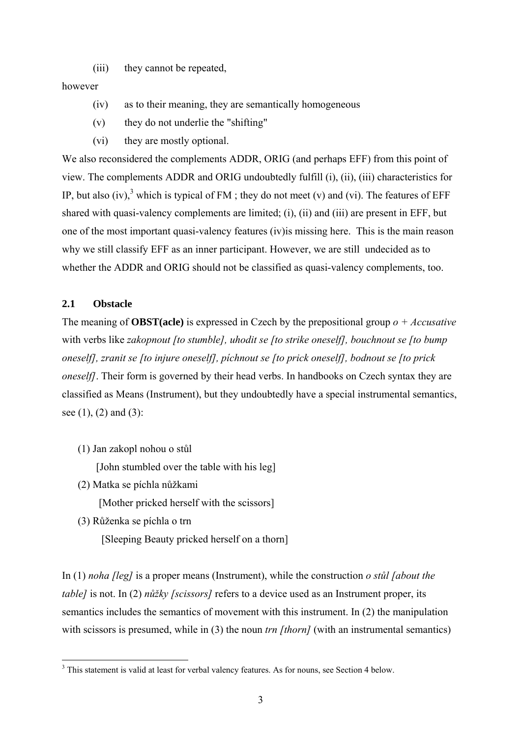(iii) they cannot be repeated,

### however

- (iv) as to their meaning, they are semantically homogeneous
- (v) they do not underlie the "shifting"
- (vi) they are mostly optional.

We also reconsidered the complements ADDR, ORIG (and perhaps EFF) from this point of view. The complements ADDR and ORIG undoubtedly fulfill (i), (ii), (iii) characteristics for IP, but also (iv),<sup>[3](#page-2-0)</sup> which is typical of FM ; they do not meet (v) and (vi). The features of EFF shared with quasi-valency complements are limited; (i), (ii) and (iii) are present in EFF, but one of the most important quasi-valency features (iv)is missing here. This is the main reason why we still classify EFF as an inner participant. However, we are still undecided as to whether the ADDR and ORIG should not be classified as quasi-valency complements, too.

### **2.1 Obstacle**

The meaning of **OBST(acle)** is expressed in Czech by the prepositional group *o + Accusative* with verbs like *zakopnout [to stumble], uhodit se [to strike oneself], bouchnout se [to bump oneself], zranit se [to injure oneself], píchnout se [to prick oneself], bodnout se [to prick oneself]*. Their form is governed by their head verbs. In handbooks on Czech syntax they are classified as Means (Instrument), but they undoubtedly have a special instrumental semantics, see  $(1)$ ,  $(2)$  and  $(3)$ :

(1) Jan zakopl nohou o stůl

[John stumbled over the table with his leg]

(2) Matka se píchla nůžkami

[Mother pricked herself with the scissors]

(3) Růženka se píchla o trn

1

[Sleeping Beauty pricked herself on a thorn]

In (1) *noha [leg]* is a proper means (Instrument), while the construction *o stůl [about the table]* is not. In (2) *nůžky [scissors]* refers to a device used as an Instrument proper, its semantics includes the semantics of movement with this instrument. In (2) the manipulation with scissors is presumed, while in (3) the noun *trn* [thorn] (with an instrumental semantics)

<span id="page-2-0"></span> $3$  This statement is valid at least for verbal valency features. As for nouns, see Section 4 below.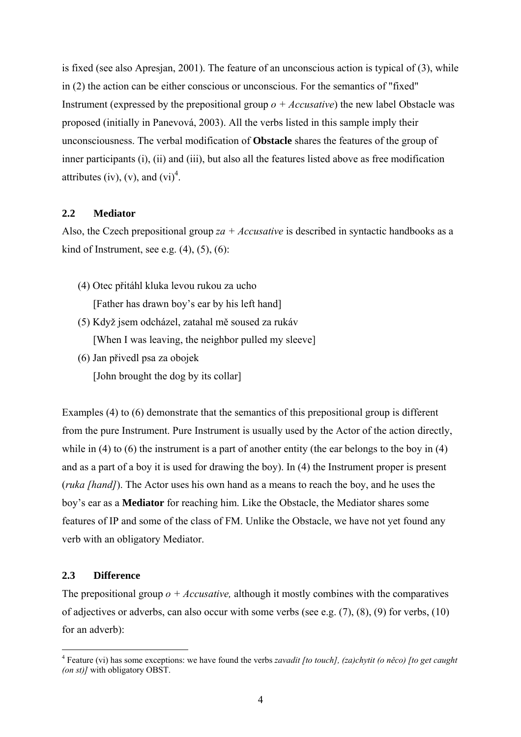is fixed (see also Apresjan, 2001). The feature of an unconscious action is typical of (3), while in (2) the action can be either conscious or unconscious. For the semantics of "fixed" Instrument (expressed by the prepositional group *o + Accusative*) the new label Obstacle was proposed (initially in Panevová, 2003). All the verbs listed in this sample imply their unconsciousness. The verbal modification of **Obstacle** shares the features of the group of inner participants (i), (ii) and (iii), but also all the features listed above as free modification attributes (iv), (v), and  $(vi)^4$  $(vi)^4$ .

## **2.2 Mediator**

Also, the Czech prepositional group *za + Accusative* is described in syntactic handbooks as a kind of Instrument, see e.g.  $(4)$ ,  $(5)$ ,  $(6)$ :

(4) Otec přitáhl kluka levou rukou za ucho

[Father has drawn boy's ear by his left hand]

- (5) Když jsem odcházel, zatahal mě soused za rukáv [When I was leaving, the neighbor pulled my sleeve]
- (6) Jan přivedl psa za obojek [John brought the dog by its collar]

Examples (4) to (6) demonstrate that the semantics of this prepositional group is different from the pure Instrument. Pure Instrument is usually used by the Actor of the action directly, while in (4) to (6) the instrument is a part of another entity (the ear belongs to the boy in (4) and as a part of a boy it is used for drawing the boy). In (4) the Instrument proper is present (*ruka [hand]*). The Actor uses his own hand as a means to reach the boy, and he uses the boy's ear as a **Mediator** for reaching him. Like the Obstacle, the Mediator shares some features of IP and some of the class of FM. Unlike the Obstacle, we have not yet found any verb with an obligatory Mediator.

### **2.3 Difference**

 $\overline{a}$ 

The prepositional group  $o + Accusative$ , although it mostly combines with the comparatives of adjectives or adverbs, can also occur with some verbs (see e.g. (7), (8), (9) for verbs, (10) for an adverb):

<span id="page-3-0"></span><sup>4</sup> Feature (vi) has some exceptions: we have found the verbs *zavadit [to touch], (za)chytit (o něco) [to get caught (on st)]* with obligatory OBST.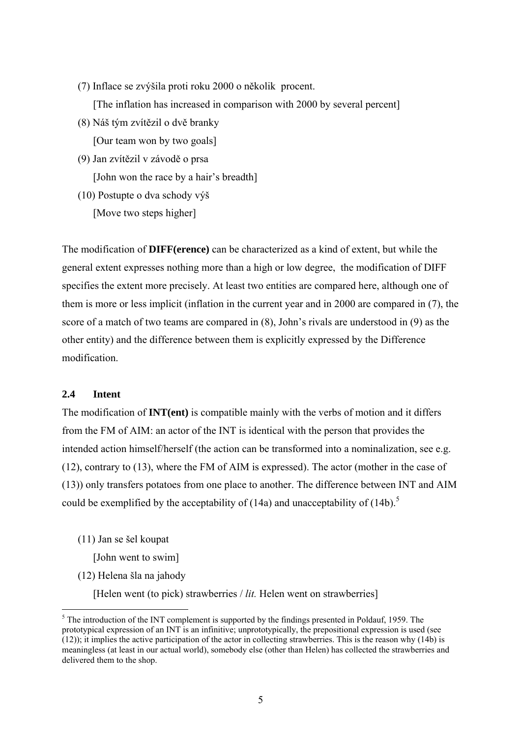- (7) Inflace se zvýšila proti roku 2000 o několik procent. [The inflation has increased in comparison with 2000 by several percent]
- (8) Náš tým zvítězil o dvě branky [Our team won by two goals]
- (9) Jan zvítězil v závodě o prsa [John won the race by a hair's breadth]
- (10) Postupte o dva schody výš [Move two steps higher]

The modification of **DIFF(erence)** can be characterized as a kind of extent, but while the general extent expresses nothing more than a high or low degree, the modification of DIFF specifies the extent more precisely. At least two entities are compared here, although one of them is more or less implicit (inflation in the current year and in 2000 are compared in (7), the score of a match of two teams are compared in (8), John's rivals are understood in (9) as the other entity) and the difference between them is explicitly expressed by the Difference modification.

# **2.4 Intent**

1

The modification of **INT(ent)** is compatible mainly with the verbs of motion and it differs from the FM of AIM: an actor of the INT is identical with the person that provides the intended action himself/herself (the action can be transformed into a nominalization, see e.g. (12), contrary to (13), where the FM of AIM is expressed). The actor (mother in the case of (13)) only transfers potatoes from one place to another. The difference between INT and AIM could be exemplified by the acceptability of (14a) and unacceptability of (14b).<sup>5</sup>

(11) Jan se šel koupat

[John went to swim]

(12) Helena šla na jahody

[Helen went (to pick) strawberries / *lit*. Helen went on strawberries]

<span id="page-4-0"></span> $<sup>5</sup>$  The introduction of the INT complement is supported by the findings presented in Poldauf, 1959. The</sup> prototypical expression of an INT is an infinitive; unprototypically, the prepositional expression is used (see (12)); it implies the active participation of the actor in collecting strawberries. This is the reason why (14b) is meaningless (at least in our actual world), somebody else (other than Helen) has collected the strawberries and delivered them to the shop.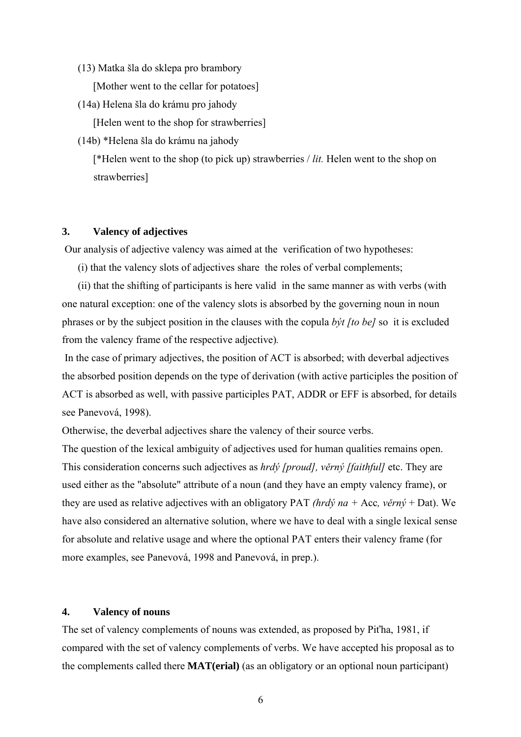(13) Matka šla do sklepa pro brambory

[Mother went to the cellar for potatoes]

(14a) Helena šla do krámu pro jahody

[Helen went to the shop for strawberries]

(14b) \*Helena šla do krámu na jahody

[\*Helen went to the shop (to pick up) strawberries / *lit.* Helen went to the shop on strawberries]

#### **3. Valency of adjectives**

Our analysis of adjective valency was aimed at the verification of two hypotheses:

(i) that the valency slots of adjectives share the roles of verbal complements;

(ii) that the shifting of participants is here valid in the same manner as with verbs (with one natural exception: one of the valency slots is absorbed by the governing noun in noun phrases or by the subject position in the clauses with the copula *být [to be]* so it is excluded from the valency frame of the respective adjective)*.* 

 In the case of primary adjectives, the position of ACT is absorbed; with deverbal adjectives the absorbed position depends on the type of derivation (with active participles the position of ACT is absorbed as well, with passive participles PAT, ADDR or EFF is absorbed, for details see Panevová, 1998).

Otherwise, the deverbal adjectives share the valency of their source verbs.

The question of the lexical ambiguity of adjectives used for human qualities remains open. This consideration concerns such adjectives as *hrdý [proud], věrný [faithful]* etc. They are used either as the "absolute" attribute of a noun (and they have an empty valency frame), or they are used as relative adjectives with an obligatory PAT *(hrdý na +* Acc*, věrný* + Dat). We have also considered an alternative solution, where we have to deal with a single lexical sense for absolute and relative usage and where the optional PAT enters their valency frame (for more examples, see Panevová, 1998 and Panevová, in prep.).

#### **4. Valency of nouns**

The set of valency complements of nouns was extended, as proposed by Piťha, 1981, if compared with the set of valency complements of verbs. We have accepted his proposal as to the complements called there **MAT(erial)** (as an obligatory or an optional noun participant)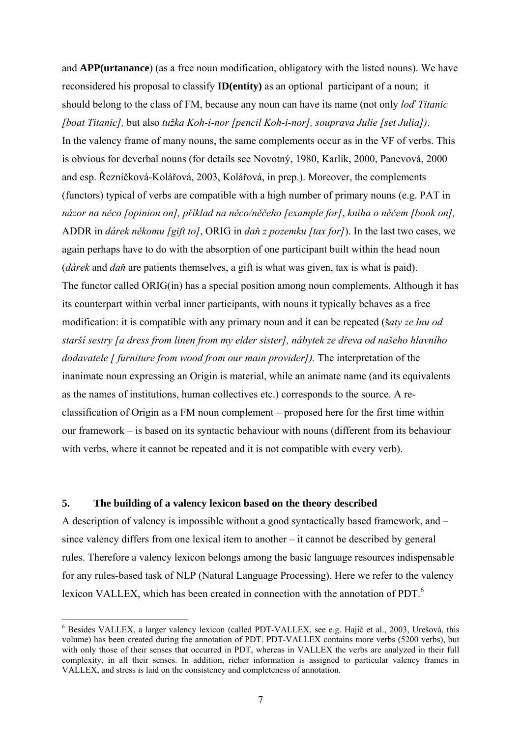and **APP(urtanance**) (as a free noun modification, obligatory with the listed nouns). We have reconsidered his proposal to classify **ID(entity)** as an optional participant of a noun; it should belong to the class of FM, because any noun can have its name (not only *loď Titanic [boat Titanic],* but also *tužka Koh-i-nor [pencil Koh-i-nor], souprava Julie [set Julia])*. In the valency frame of many nouns, the same complements occur as in the VF of verbs. This is obvious for deverbal nouns (for details see Novotný, 1980, Karlík, 2000, Panevová, 2000 and esp. Řezníčková-Kolářová, 2003, Kolářová, in prep.). Moreover, the complements (functors) typical of verbs are compatible with a high number of primary nouns (e.g. PAT in *názor na něco [opinion on], příklad na něco/něčeho [example for]*, *kniha o něčem [book on],* ADDR in *dárek někomu [gift to]*, ORIG in *daň z pozemku [tax for]*). In the last two cases, we again perhaps have to do with the absorption of one participant built within the head noun (*dárek* and *daň* are patients themselves, a gift is what was given, tax is what is paid). The functor called ORIG(in) has a special position among noun complements. Although it has its counterpart within verbal inner participants, with nouns it typically behaves as a free modification: it is compatible with any primary noun and it can be repeated (š*aty ze lnu od starší sestry [a dress from linen from my elder sister], nábytek ze dřeva od našeho hlavního dodavatele [ furniture from wood from our main provider]*). The interpretation of the inanimate noun expressing an Origin is material, while an animate name (and its equivalents as the names of institutions, human collectives etc.) corresponds to the source. A reclassification of Origin as a FM noun complement – proposed here for the first time within our framework – is based on its syntactic behaviour with nouns (different from its behaviour with verbs, where it cannot be repeated and it is not compatible with every verb).

# **5. The building of a valency lexicon based on the theory described**

1

A description of valency is impossible without a good syntactically based framework, and – since valency differs from one lexical item to another – it cannot be described by general rules. Therefore a valency lexicon belongs among the basic language resources indispensable for any rules-based task of NLP (Natural Language Processing). Here we refer to the valency lexicon VALLEX, which has been created in connection with the annotation of PDT.<sup>6</sup>

<span id="page-6-0"></span><sup>&</sup>lt;sup>6</sup> Besides VALLEX, a larger valency lexicon (called PDT-VALLEX, see e.g. Hajič et al., 2003, Urešová, this volume) has been created during the annotation of PDT. PDT-VALLEX contains more verbs (5200 verbs), but with only those of their senses that occurred in PDT, whereas in VALLEX the verbs are analyzed in their full complexity, in all their senses. In addition, richer information is assigned to particular valency frames in VALLEX, and stress is laid on the consistency and completeness of annotation.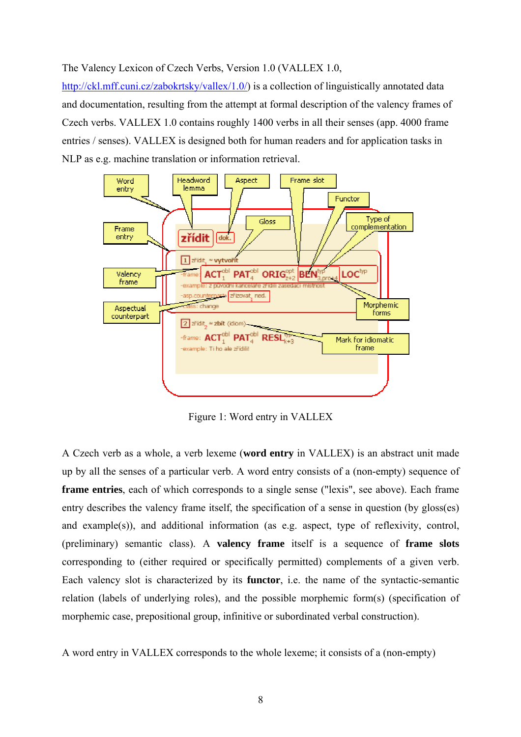### The Valency Lexicon of Czech Verbs, Version 1.0 (VALLEX 1.0,

http://ckl.mff.cuni.cz/zabokrtsky/vallex/1.0/) is a collection of linguistically annotated data and documentation, resulting from the attempt at formal description of the valency frames of Czech verbs. VALLEX 1.0 contains roughly 1400 verbs in all their senses (app. 4000 frame entries / senses). VALLEX is designed both for human readers and for application tasks in NLP as e.g. machine translation or information retrieval.



Figure 1: Word entry in VALLEX

A Czech verb as a whole, a verb lexeme (**word entry** in VALLEX) is an abstract unit made up by all the senses of a particular verb. A word entry consists of a (non-empty) sequence of **frame entries**, each of which corresponds to a single sense ("lexis", see above). Each frame entry describes the valency frame itself, the specification of a sense in question (by gloss(es) and example(s)), and additional information (as e.g. aspect, type of reflexivity, control, (preliminary) semantic class). A **valency frame** itself is a sequence of **frame slots** corresponding to (either required or specifically permitted) complements of a given verb. Each valency slot is characterized by its **functor**, i.e. the name of the syntactic-semantic relation (labels of underlying roles), and the possible morphemic form(s) (specification of morphemic case, prepositional group, infinitive or subordinated verbal construction).

A word entry in VALLEX corresponds to the whole lexeme; it consists of a (non-empty)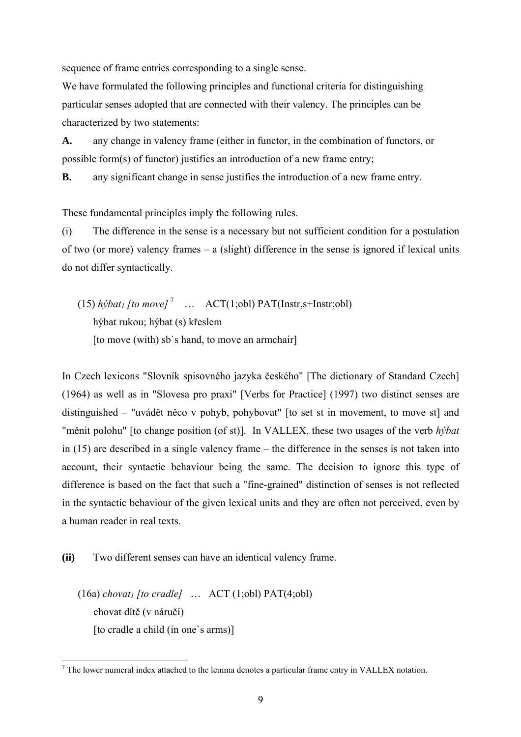sequence of frame entries corresponding to a single sense.

We have formulated the following principles and functional criteria for distinguishing particular senses adopted that are connected with their valency. The principles can be characterized by two statements:

**A.** any change in valency frame (either in functor, in the combination of functors, or possible form(s) of functor) justifies an introduction of a new frame entry;

**B.** any significant change in sense justifies the introduction of a new frame entry.

These fundamental principles imply the following rules.

(i) The difference in the sense is a necessary but not sufficient condition for a postulation of two (or more) valency frames – a (slight) difference in the sense is ignored if lexical units do not differ syntactically.

(15)  $h\dot{y}bat_1$  [to move]<sup>7</sup> ...  $\text{ACT}(1;\text{obl})$  PAT(Instr,s+Instr;obl) hýbat rukou; hýbat (s) křeslem [to move (with) sb's hand, to move an armchair]

In Czech lexicons "Slovník spisovného jazyka českého" [The dictionary of Standard Czech] (1964) as well as in "Slovesa pro praxi" [Verbs for Practice] (1997) two distinct senses are distinguished – "uvádět něco v pohyb, pohybovat" [to set st in movement, to move st] and "měnit polohu" [to change position (of st)]. In VALLEX, these two usages of the verb *hýbat* in (15) are described in a single valency frame – the difference in the senses is not taken into account, their syntactic behaviour being the same. The decision to ignore this type of difference is based on the fact that such a "fine-grained" distinction of senses is not reflected in the syntactic behaviour of the given lexical units and they are often not perceived, even by a human reader in real texts.

**(ii)** Two different senses can have an identical valency frame.

 $(16a)$  *chovat<sub>1</sub>* [to *cradle*] ... ACT  $(1; \text{obl})$  PAT $(4; \text{obl})$ chovat dítě (v náručí) [to cradle a child (in one's arms)]

 $\overline{a}$ 

<span id="page-8-0"></span> $<sup>7</sup>$  The lower numeral index attached to the lemma denotes a particular frame entry in VALLEX notation.</sup>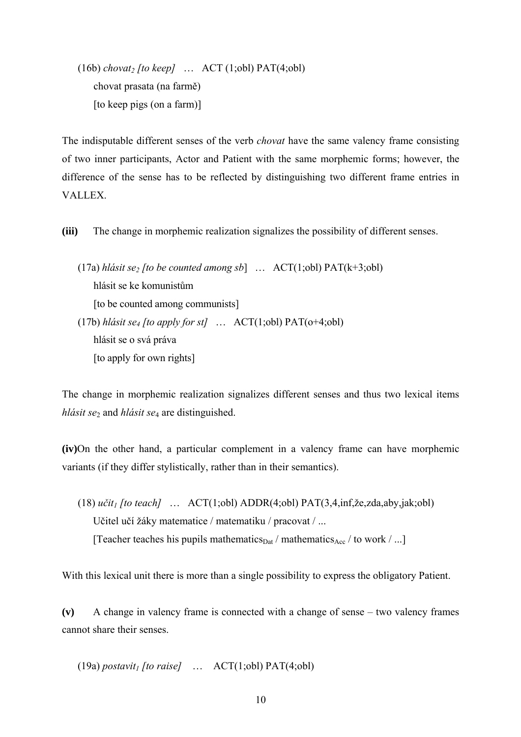$(16b)$  *chovat<sub>2</sub>* [to keep] ...  $ACT (1;obl)$   $PATH(4;obl)$ chovat prasata (na farmě) [to keep pigs (on a farm)]

The indisputable different senses of the verb *chovat* have the same valency frame consisting of two inner participants, Actor and Patient with the same morphemic forms; however, the difference of the sense has to be reflected by distinguishing two different frame entries in VALLEX.

**(iii)** The change in morphemic realization signalizes the possibility of different senses.

(17a) *hlásit se<sub>2</sub>* [to be counted among sb] ...  $\text{ACT}(1; \text{obl}) \text{ PAT}(k+3; \text{obl})$ hlásit se ke komunistům [to be counted among communists] (17b) *hlásit se4 [to apply for st]* … ACT(1;obl) PAT(o+4;obl) hlásit se o svá práva [to apply for own rights]

The change in morphemic realization signalizes different senses and thus two lexical items *hlásit se*2 and *hlásit se*4 are distinguished.

**(iv)**On the other hand, a particular complement in a valency frame can have morphemic variants (if they differ stylistically, rather than in their semantics).

(18) *učit1 [to teach]* … ACT(1;obl) ADDR(4;obl) PAT(3,4,inf,že,zda,aby,jak;obl) Učitel učí žáky matematice / matematiku / pracovat / ... [Teacher teaches his pupils mathematics $_{\text{Data}}$  / mathematics $_{\text{Acc}}$  / to work / ...]

With this lexical unit there is more than a single possibility to express the obligatory Patient.

**(v)** A change in valency frame is connected with a change of sense – two valency frames cannot share their senses.

(19a) *postavit<sub>1</sub>* [to raise] …  $\text{ACT}(1;\text{obl})$   $\text{PAT}(4;\text{obl})$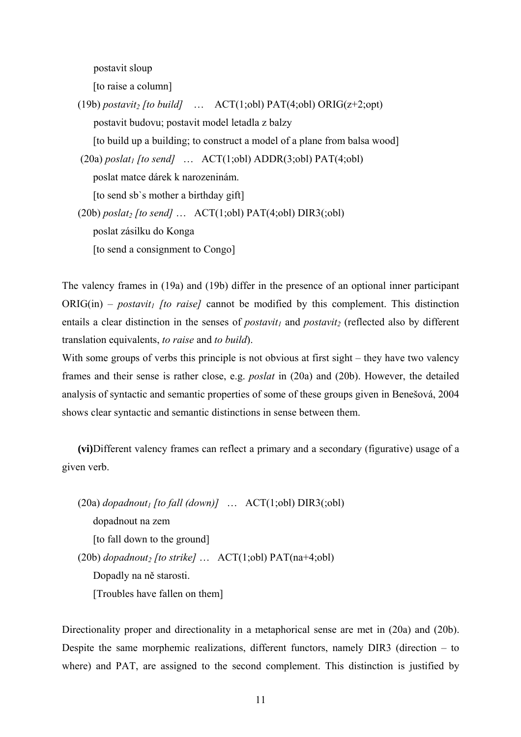postavit sloup

[to raise a column]

(19b) *postavit<sub>2</sub>* [to build] ...  $\angle$  ACT(1;obl) PAT(4;obl) ORIG(z+2;opt) postavit budovu; postavit model letadla z balzy [to build up a building; to construct a model of a plane from balsa wood]  $(20a)$  *poslat<sub>1</sub>* [to send] ...  $ACT(1;obl) ADDR(3;obl) PATH(4;obl)$ poslat matce dárek k narozeninám. [to send sb`s mother a birthday gift] (20b)  $\text{poslat}_2$  [to send] ...  $\text{ACT}(1;\text{obl})$   $\text{PAT}(4;\text{obl})$   $\text{DIR3}(\text{col})$ poslat zásilku do Konga [to send a consignment to Congo]

The valency frames in (19a) and (19b) differ in the presence of an optional inner participant  $ORIG(in)$  – *postavit<sub>1</sub>* [to raise] cannot be modified by this complement. This distinction entails a clear distinction in the senses of *postavit<sub>1</sub>* and *postavit<sub>2</sub>* (reflected also by different translation equivalents, *to raise* and *to build*).

With some groups of verbs this principle is not obvious at first sight – they have two valency frames and their sense is rather close, e.g. *poslat* in (20a) and (20b). However, the detailed analysis of syntactic and semantic properties of some of these groups given in Benešová, 2004 shows clear syntactic and semantic distinctions in sense between them.

**(vi)**Different valency frames can reflect a primary and a secondary (figurative) usage of a given verb.

 $(20a)$  *dopadnout<sub>1</sub>* [to fall (down)] ...  $ACT(1;ob1) DIR3(:,ob1)$ dopadnout na zem [to fall down to the ground] (20b)  $\text{dopadnout}_2$  [to strike]  $\ldots$  ACT(1;obl) PAT(na+4;obl) Dopadly na ně starosti. [Troubles have fallen on them]

Directionality proper and directionality in a metaphorical sense are met in (20a) and (20b). Despite the same morphemic realizations, different functors, namely DIR3 (direction – to where) and PAT, are assigned to the second complement. This distinction is justified by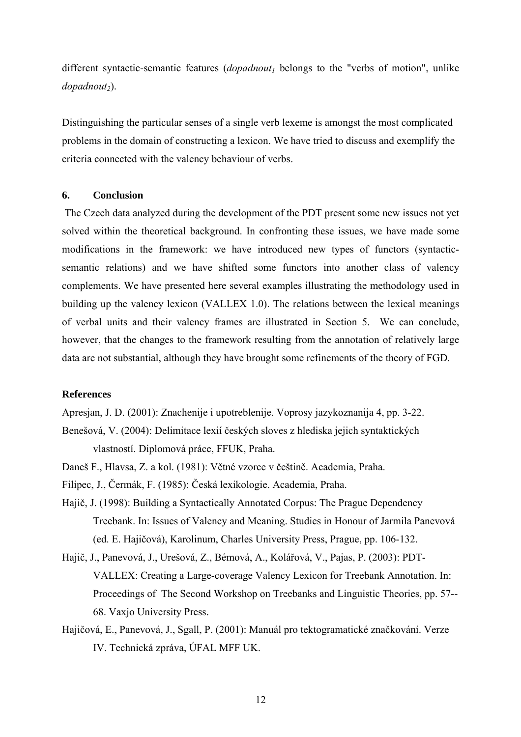different syntactic-semantic features (*dopadnout<sub>1</sub>* belongs to the "verbs of motion", unlike *dopadnout*<sub>2</sub>).

Distinguishing the particular senses of a single verb lexeme is amongst the most complicated problems in the domain of constructing a lexicon. We have tried to discuss and exemplify the criteria connected with the valency behaviour of verbs.

## **6. Conclusion**

 The Czech data analyzed during the development of the PDT present some new issues not yet solved within the theoretical background. In confronting these issues, we have made some modifications in the framework: we have introduced new types of functors (syntacticsemantic relations) and we have shifted some functors into another class of valency complements. We have presented here several examples illustrating the methodology used in building up the valency lexicon (VALLEX 1.0). The relations between the lexical meanings of verbal units and their valency frames are illustrated in Section 5. We can conclude, however, that the changes to the framework resulting from the annotation of relatively large data are not substantial, although they have brought some refinements of the theory of FGD.

### **References**

Apresjan, J. D. (2001): Znachenije i upotreblenije. Voprosy jazykoznanija 4, pp. 3-22.

- Benešová, V. (2004): Delimitace lexií českých sloves z hlediska jejich syntaktických vlastností. Diplomová práce, FFUK, Praha.
- Daneš F., Hlavsa, Z. a kol. (1981): Větné vzorce v češtině. Academia, Praha.
- Filipec, J., Čermák, F. (1985): Česká lexikologie. Academia, Praha.
- Hajič, J. (1998): Building a Syntactically Annotated Corpus: The Prague Dependency Treebank. In: Issues of Valency and Meaning. Studies in Honour of Jarmila Panevová (ed. E. Hajičová), Karolinum, Charles University Press, Prague, pp. 106-132.
- Hajič, J., Panevová, J., Urešová, Z., Bémová, A., Kolářová, V., Pajas, P. (2003): PDT-VALLEX: Creating a Large-coverage Valency Lexicon for Treebank Annotation. In: Proceedings of The Second Workshop on Treebanks and Linguistic Theories, pp. 57-- 68. Vaxjo University Press.
- Hajičová, E., Panevová, J., Sgall, P. (2001): Manuál pro tektogramatické značkování. Verze IV. Technická zpráva, ÚFAL MFF UK.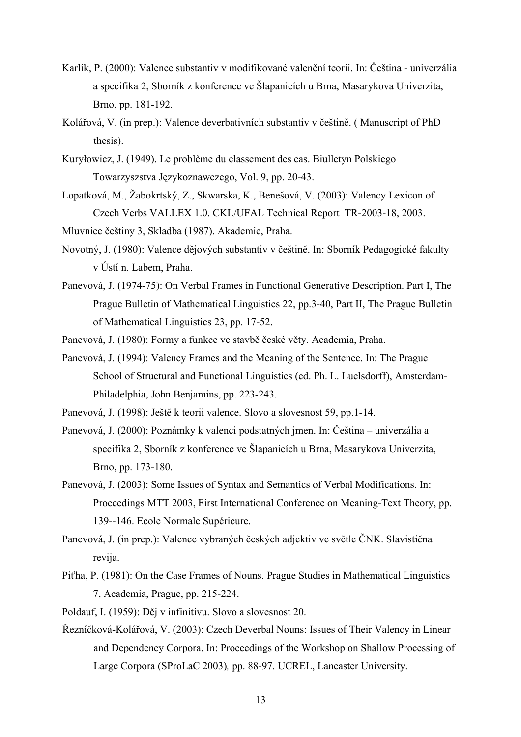- Karlík, P. (2000): Valence substantiv v modifikované valenční teorii. In: Čeština univerzália a specifika 2, Sborník z konference ve Šlapanicích u Brna, Masarykova Univerzita, Brno, pp. 181-192.
- Kolářová, V. (in prep.): Valence deverbativních substantiv v češtině. ( Manuscript of PhD thesis).
- Kuryłowicz, J. (1949). Le problème du classement des cas. Biulletyn Polskiego Towarzyszstva Językoznawczego, Vol. 9, pp. 20-43.
- Lopatková, M., Žabokrtský, Z., Skwarska, K., Benešová, V. (2003): Valency Lexicon of Czech Verbs VALLEX 1.0. CKL/UFAL Technical Report TR-2003-18, 2003.
- Mluvnice češtiny 3, Skladba (1987). Akademie, Praha.
- Novotný, J. (1980): Valence dějových substantiv v češtině. In: Sborník Pedagogické fakulty v Ústí n. Labem, Praha.
- Panevová, J. (1974-75): On Verbal Frames in Functional Generative Description. Part I, The Prague Bulletin of Mathematical Linguistics 22, pp.3-40, Part II, The Prague Bulletin of Mathematical Linguistics 23, pp. 17-52.
- Panevová, J. (1980): Formy a funkce ve stavbě české věty. Academia, Praha.
- Panevová, J. (1994): Valency Frames and the Meaning of the Sentence. In: The Prague School of Structural and Functional Linguistics (ed. Ph. L. Luelsdorff), Amsterdam-Philadelphia, John Benjamins, pp. 223-243.
- Panevová, J. (1998): Ještě k teorii valence. Slovo a slovesnost 59, pp.1-14.
- Panevová, J. (2000): Poznámky k valenci podstatných jmen. In: Čeština univerzália a specifika 2, Sborník z konference ve Šlapanicích u Brna, Masarykova Univerzita, Brno, pp. 173-180.
- Panevová, J. (2003): Some Issues of Syntax and Semantics of Verbal Modifications. In: Proceedings MTT 2003, First International Conference on Meaning-Text Theory, pp. 139--146. Ecole Normale Supérieure.
- Panevová, J. (in prep.): Valence vybraných českých adjektiv ve světle ČNK. Slavistična revija.
- Piťha, P. (1981): On the Case Frames of Nouns. Prague Studies in Mathematical Linguistics 7, Academia, Prague, pp. 215-224.

Poldauf, I. (1959): Děj v infinitivu. Slovo a slovesnost 20.

Řezníčková-Kolářová, V. (2003): Czech Deverbal Nouns: Issues of Their Valency in Linear and Dependency Corpora. In: Proceedings of the Workshop on Shallow Processing of Large Corpora (SProLaC 2003)*,* pp. 88-97. UCREL, Lancaster University.